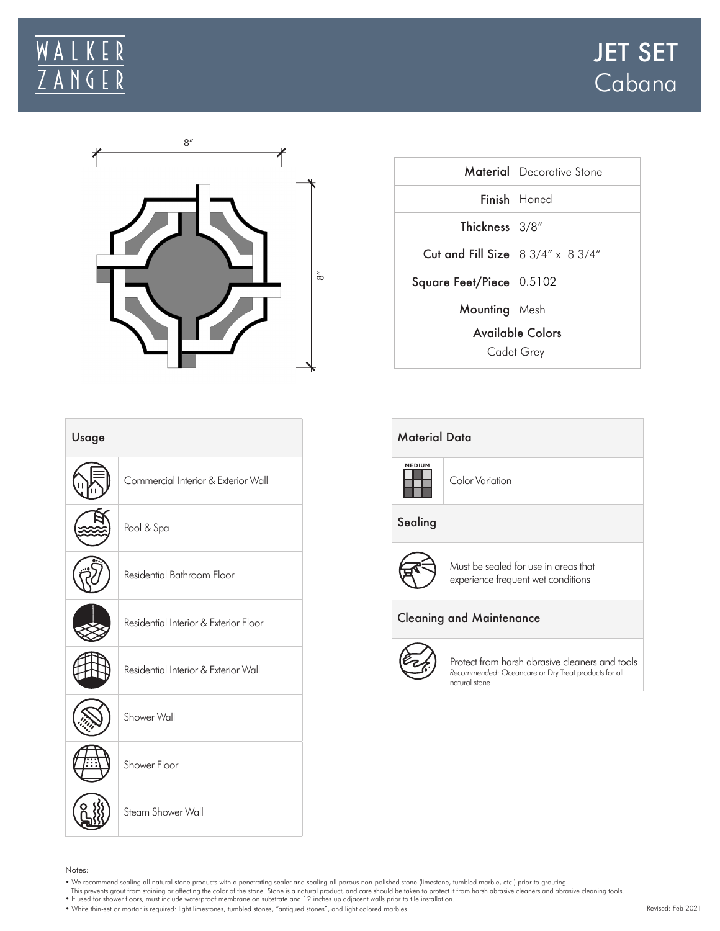

|                                         | <b>Material</b> Decorative Stone |
|-----------------------------------------|----------------------------------|
|                                         | Finish   Honed                   |
| Thickness $3/8''$                       |                                  |
| Cut and Fill Size $ 83/4" \times 83/4"$ |                                  |
| Square Feet/Piece 0.5102                |                                  |
| Mounting   Mesh                         |                                  |
| Available Colors<br>Cadet Grey          |                                  |



Material Data **MEDIUM** H Color Variation m Sealing Must be sealed for use in areas that experience frequent wet conditions Cleaning and Maintenance Protect from harsh abrasive cleaners and tools *Recommended*: Oceancare or Dry Treat products for all natural stone

Notes:

• We recommend sealing all natural stone products with a penetrating sealer and sealing all porous non-polished stone (limestone, tumbled marble, etc.) prior to grouting.

This prevents grout from staining or affecting the color of the stone. Stone is a natural product, and care should be taken to protect it from harsh abrasive cleaners and abrasive cleaning tools.

- If used for shower floors, must include waterproof membrane on substrate and 12 inches up adjacent walls prior to tile installation.
- White thin-set or mortar is required: light limestones, tumbled stones, "antiqued stones", and light colored marbles